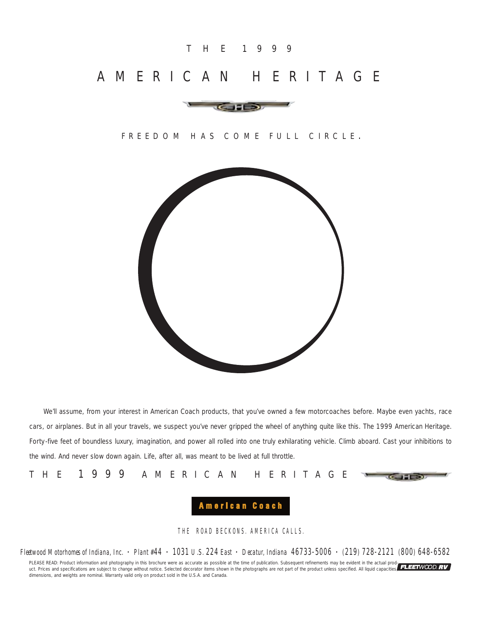## T H E 1 9 9 9

# AMERICAN HERITAGE



### FREEDOM HAS COME FULL CIRCLE .



We'll assume, from your interest in American Coach products, that you've owned a few motorcoaches before. Maybe even yachts, race cars, or airplanes. But in all your travels, we suspect you've never gripped the wheel of anything quite like this. The 1999 American Heritage. Forty-five feet of boundless luxury, imagination, and power all rolled into one truly exhilarating vehicle. Climb aboard. Cast your inhibitions to the wind. And never slow down again. Life, after all, was meant to be lived at full throttle.

THE 1999 AMERICAN HERITAGE

## $C = 5$

## American Coach

THE ROAD BECKONS. AMERICA CALLS.

*Fleetwood Motorhomes of Indiana, Inc. • Plant #44 • 1031 U.S. 224 East • Decatur, Indiana 46733-5006 • (219) 728-2121 (800) 648-6582*

PLEASE READ: Product information and photography in this brochure were as accurate as possible at the time of publication. Subsequent refinements may be evident in the actual prod-<br>uct. Prices and specifications are subjec dimensions, and weights are nominal. Warranty valid only on product sold in the U.S.A. and Canada.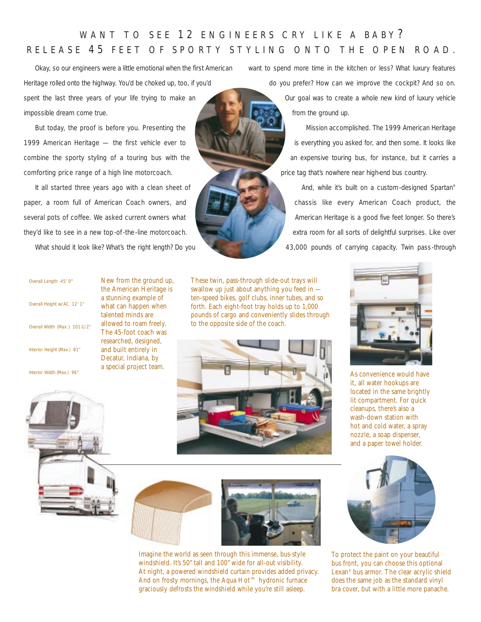## WANT TO SEE 12 ENGINEERS CRY LIKE A BABY? RELEASE 4 5 FEET OF SPORTY STYLING ONTO THE OPEN ROAD.

Okay, so our engineers were a little emotional when the first American Heritage rolled onto the highway. You'd be choked up, too, if you'd spent the last three years of your life trying to make an impossible dream come true.

But today, the proof is before you. Presenting the 1999 American Heritage — the first vehicle ever to combine the sporty styling of a touring bus with the comforting price range of a high line motorcoach.

It all started three years ago with a clean sheet of paper, a room full of American Coach owners, and several pots of coffee. We asked current owners what they'd like to see in a new top-of-the-line motorcoach.

What should it look like? What's the right length? Do you

want to spend more time in the kitchen or less? What luxury features do you prefer? How can we improve the cockpit? And so on. Our goal was to create a whole new kind of luxury vehicle from the ground up.

> Mission accomplished. The 1999 American Heritage is everything you asked for, and then some. It looks like an expensive touring bus, for instance, but it carries a price tag that's nowhere near high-end bus country.

And, while it's built on a custom-designed Spartan® chassis like every American Coach product, the American Heritage is a good five feet longer. So there's extra room for all sorts of delightful surprises. Like over 43,000 pounds of carrying capacity. Twin pass-through

| Overall Height w/AC 12' 1"    |
|-------------------------------|
| Overall Width (Max.) 101-1/2" |
| Interior Height (Max.) 81"    |
| Interior Width (Max.) 96"     |

Overall Length 45' 0"

New from the ground up, the American Heritage is a stunning example of what can happen when talented minds are allowed to roam freely. The 45-foot coach was researched, designed, and built entirely in Decatur, Indiana, by a special project team.

These twin, pass-through slide-out trays will swallow up just about anything you feed in ten-speed bikes, golf clubs, inner tubes, and so forth. Each eight-foot tray holds up to 1,000 pounds of cargo and conveniently slides through to the opposite side of the coach.





As convenience would have it, all water hookups are located in the same brightly lit compartment. For quick cleanups, there's also a wash-down station with hot and cold water, a spray nozzle, a soap dispenser, and a paper towel holder.







Imagine the world as seen through this immense, bus-style windshield. It's 50" tall and 100" wide for all-out visibility. At night, a powered windshield curtain provides added privacy. And on frosty mornings, the Aqua Hot™ hydronic furnace graciously defrosts the windshield while you're still asleep.



To protect the paint on your beautiful bus front, you can choose this optional Lexan® bus armor. The clear acrylic shield does the same job as the standard vinyl bra cover, but with a little more panache.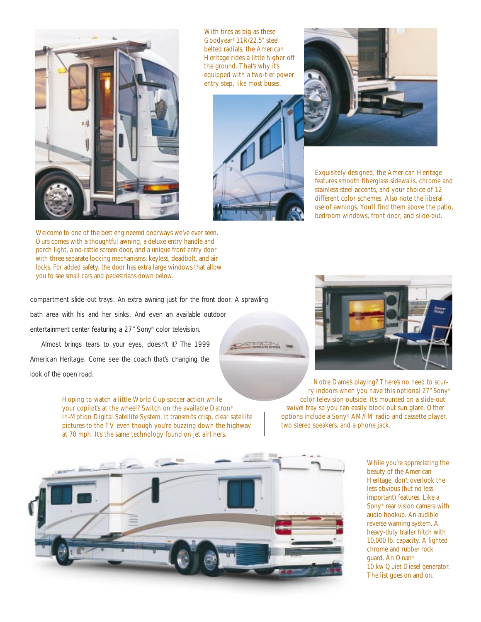

With tires as big as these Goodyear® 11R/22.5" steel belted radials, the American Heritage rides a little higher off the ground. That's why it's equipped with a two-tier power entry step, like most buses.





Exquisitely designed, the American Heritage features smooth fiberglass sidewalls, chrome and stainless steel accents, and your choice of 12 different color schemes. Also note the liberal use of awnings. You'll find them above the patio, bedroom windows, front door, and slide-out.

Welcome to one of the best engineered doorways we've ever seen. Ours comes with a thoughtful awning, a deluxe entry handle and porch light, a no-rattle screen door, and a unique front entry door with three separate locking mechanisms: keyless, deadbolt, and air locks. For added safety, the door has extra large windows that allow you to see small cars and pedestrians down below.

compartment slide-out trays. An extra awning just for the front door. A sprawling

bath area with his and her sinks. And even an available outdoor entertainment center featuring a 27" Sony® color television.

Almost brings tears to your eyes, doesn't it? The 1999 American Heritage. Come see the coach that's changing the look of the open road.

> Hoping to watch a little World Cup soccer action while your copilot's at the wheel? Switch on the available Datron® In-Motion Digital Satellite System. It transmits crisp, clear satellite pictures to the TV even though you're buzzing down the highway at 70 mph. It's the same technology found on jet airliners.



Notre Dame's playing? There's no need to scurry indoors when you have this optional 27" Sony® color television outside. It's mounted on a slide-out swivel tray so you can easily block out sun glare. Other options include a Sony® AM/FM radio and cassette player, two stereo speakers, and a phone jack.



While you're appreciating the beauty of the American Heritage, don't overlook the less obvious (but no less important) features. Like a Sony® rear vision camera with audio hookup. An audible reverse warning system. A heavy-duty trailer hitch with 10,000 lb. capacity. A lighted chrome and rubber rock guard. An Onan® 10 kw Quiet Diesel generator. The list goes on and on.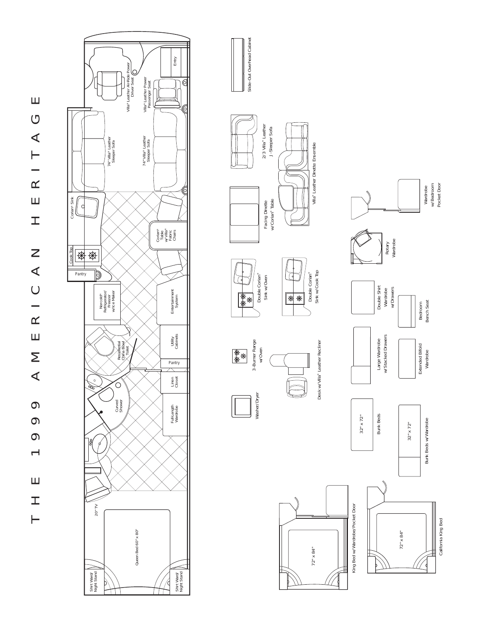





Slide-Out Overhead Cabinet

Slide-Out Overhead Cabinet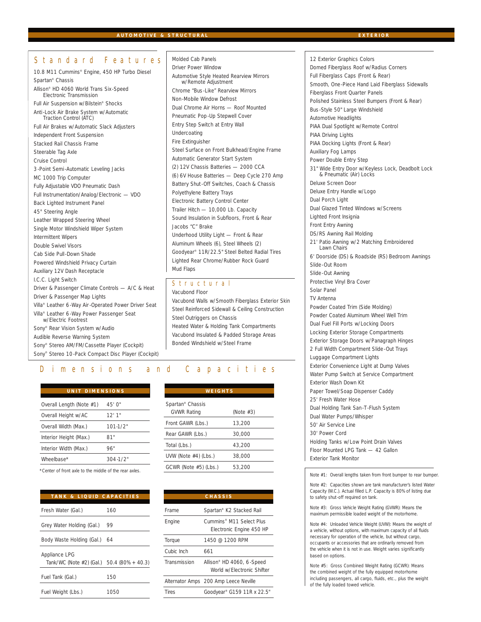Molded Cab Panels

### *Standard Features*

10.8 M11 Cummins® Engine, 450 HP Turbo Diesel Spartan® Chassis Allison® HD 4060 World Trans Six-Speed Electronic Transmission Full Air Suspension w/Bilstein® Shocks Anti-Lock Air Brake System w/Automatic Traction Control (ATC) Full Air Brakes w/Automatic Slack Adjusters Independent Front Suspension Stacked Rail Chassis Frame Steerable Tag Axle Cruise Control 3-Point Semi-Automatic Leveling Jacks MC 1000 Trip Computer Fully Adjustable VDO Pneumatic Dash Full Instrumentation/Analog/Electronic — VDO Back Lighted Instrument Panel 45° Steering Angle Leather Wrapped Steering Wheel Single Motor Windshield Wiper System Intermittent Wipers Double Swivel Visors Cab Side Pull-Down Shade Powered Windshield Privacy Curtain Auxiliary 12V Dash Receptacle I.C.C. Light Switch Driver & Passenger Climate Controls — A/C & Heat Driver & Passenger Map Lights Villa® Leather 6-Way Air-Operated Power Driver Seat Villa® Leather 6-Way Power Passenger Seat w/Electric Footrest Sony® Rear Vision System w/Audio Audible Reverse Warning System Sony® Stereo AM/FM/Cassette Player (Cockpit)

Sony® Stereo 10-Pack Compact Disc Player (Cockpit)

Driver Power Window Automotive Style Heated Rearview Mirrors w/Remote Adjustment Chrome "Bus-Like" Rearview Mirrors Non-Mobile Window Defrost Dual Chrome Air Horns — Roof Mounted Pneumatic Pop-Up Stepwell Cover Entry Step Switch at Entry Wall Undercoating Fire Extinguisher Steel Surface on Front Bulkhead/Engine Frame Automatic Generator Start System (2) 12V Chassis Batteries — 2000 CCA (6) 6V House Batteries — Deep Cycle 270 Amp Battery Shut- Off Switches, Coach & Chassis Polyethylene Battery Trays Electronic Battery Control Center Trailer Hitch — 10,000 Lb. Capacity Sound Insulation in Subfloors, Front & Rear Jacobs "C" Brake Underhood Utility Light — Front & Rear Aluminum Wheels (6), Steel Wheels (2) Goodyear® 11R/22.5" Steel Belted Radial Tires Lighted Rear Chrome/Rubber Rock Guard Mud Flaps

#### *Structural*

Vacubond Floor Vacubond Walls w/Smooth Fiberglass Exterior Skin Steel Reinforced Sidewall & Ceiling Construction Steel Outriggers on Chassis Heated Water & Holding Tank Compartments Vacubond Insulated & Padded Storage Areas Bonded Windshield w/Steel Frame

#### *Dimensions and Capacities*

| UNIT DIMENSIONS          |              | WEIGHTS                      |
|--------------------------|--------------|------------------------------|
| Overall Length (Note #1) | 45'0''       | Spartan <sup>®</sup> Chassis |
| Overall Height w/AC      | 12'1"        | <b>GVWR Rating</b>           |
| Overall Width (Max.)     | $101 - 1/2"$ | Front GAWR (Lbs.)            |
| Interior Height (Max.)   | 81"          | Rear GAWR (Lbs.)             |
| Interior Width (Max.)    | 96"          | Total (Lbs.)                 |
| Wheelbase*               | $304 - 1/2"$ | UVW (Note $#4$ ) (Lbs.)      |
|                          |              |                              |

\*Center of front axle to the middle of the rear axles.

| TANK & LIQUID CAPACITIES  |                     |
|---------------------------|---------------------|
| Fresh Water (Gal.)        | 160                 |
| Grey Water Holding (Gal.) | 99                  |
| Body Waste Holding (Gal.) | 64                  |
| Appliance LPG             |                     |
| Tank/WC (Note #2) (Gal.)  | $50.4(80\% + 40.3)$ |
| Fuel Tank (Gal.)          | 150                 |
| Fuel Weight (Lbs.)        | 1050                |

| WEIGHTS                      |              |  |  |
|------------------------------|--------------|--|--|
|                              |              |  |  |
| Spartan <sup>®</sup> Chassis |              |  |  |
| <b>GVWR Rating</b>           | (Note $#3$ ) |  |  |
| Front GAWR (Lbs.)            | 13,200       |  |  |
| Rear GAWR (Lbs.)             | 30.000       |  |  |
| Total (Lbs.)                 | 43.200       |  |  |
| UVW (Note #4) (Lbs.)         | 38,000       |  |  |
| GCWR (Note #5) (Lbs.)        | 53.200       |  |  |
|                              |              |  |  |

|              | <b>CHASSIS</b>                                          |
|--------------|---------------------------------------------------------|
| Frame        | Spartan® K2 Stacked Rail                                |
| Engine       | Cummins® M11 Select Plus<br>Electronic Engine 450 HP    |
| Torque       | 1450 @ 1200 RPM                                         |
| Cubic Inch   | 661                                                     |
| Transmission | Allison® HD 4060, 6-Speed<br>World w/Electronic Shifter |
|              | Alternator Amps 200 Amp Leece Neville                   |
| Tires        | Goodyear® G159 11R x 22.5"                              |

12 Exterior Graphics Colors Domed Fiberglass Roof w/Radius Corners Full Fiberglass Caps (Front & Rear) Smooth, One-Piece Hand Laid Fiberglass Sidewalls Fiberglass Front Quarter Panels Polished Stainless Steel Bumpers (Front & Rear) Bus-Style 50" Large Windshield Automotive Headlights PIAA Dual Spotlight w/Remote Control PIAA Driving Lights PIAA Docking Lights (Front & Rear) Auxiliary Fog Lamps Power Double Entry Step 31" Wide Entry Door w/Keyless Lock, Deadbolt Lock & Pneumatic (Air) Locks Deluxe Screen Door Deluxe Entry Handle w/Logo Dual Porch Light Dual Glazed Tinted Windows w/Screens Lighted Front Insignia Front Entry Awning DS/RS Awning Rail Molding 21' Patio Awning w/2 Matching Embroidered Lawn Chairs 6' Doorside (DS) & Roadside (RS) Bedroom Awnings Slide- Out Room Slide- Out Awning Protective Vinyl Bra Cover Solar Panel TV Antenna Powder Coated Trim (Side Molding) Powder Coated Aluminum Wheel Well Trim Dual Fuel Fill Ports w/Locking Doors Locking Exterior Storage Compartments Exterior Storage Doors w/Panagraph Hinges 2 Full Width Compartment Slide- Out Trays Luggage Compartment Lights Exterior Convenience Light at Dump Valves Water Pump Switch at Service Compartment Exterior Wash Down Kit Paper Towel/Soap Dispenser Caddy 25' Fresh Water Hose Dual Holding Tank San-T-Flush System Dual Water Pumps/Whisper 50' Air Service Line 30' Power Cord Holding Tanks w/Low Point Drain Valves Floor Mounted LPG Tank — 42 Gallon Exterior Tank Monitor

Note #1: Overall lengths taken from front bumper to rear bumper.

Note #2: Capacities shown are tank manufacturer's listed Water Capacity (W.C.). Actual filled L.P. Capacity is 80% of listing due to safety shut-off required on tank.

Note #3: Gross Vehicle Weight Rating (GVWR): Means the maximum permissible loaded weight of the motorhome.

Note #4: Unloaded Vehicle Weight (UVW): Means the weight of a vehicle, without options, with maximum capacity of all fluids necessary for operation of the vehicle, but without cargo, occupants or accessories that are ordinarily removed from the vehicle when it is not in use. Weight varies significantly based on options.

Note #5: Gross Combined Weight Rating (GCWR): Means the combined weight of the fully equipped motorhome including passengers, all cargo, fluids, etc., plus the weight of the fully loaded towed vehicle.